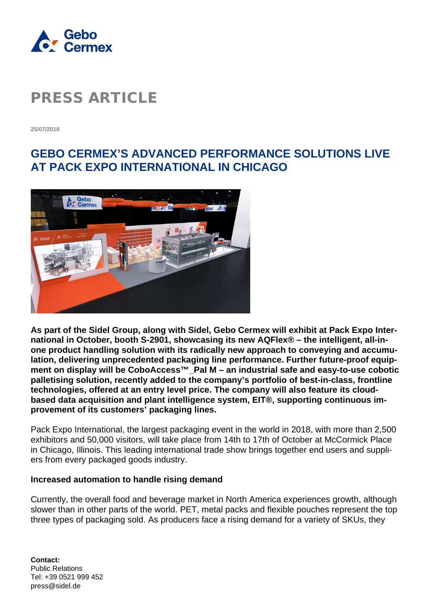

**25/07/2018**

### **GEBO CERMEX'S ADVANCED PERFORMANCE SOLUTIONS LIVE AT PACK EXPO INTERNATIONAL IN CHICAGO**



**As part of the Sidel Group, along with Sidel, Gebo Cermex will exhibit at Pack Expo International in October, booth S-2901, showcasing its new AQFlex® – the intelligent, all-inone product handling solution with its radically new approach to conveying and accumulation, delivering unprecedented packaging line performance. Further future-proof equipment on display will be CoboAccess™\_Pal M – an industrial safe and easy-to-use cobotic palletising solution, recently added to the company's portfolio of best-in-class, frontline technologies, offered at an entry level price. The company will also feature its cloudbased data acquisition and plant intelligence system, EIT®, supporting continuous improvement of its customers' packaging lines.**

Pack Expo International, the largest packaging event in the world in 2018, with more than 2,500 exhibitors and 50,000 visitors, will take place from 14th to 17th of October at McCormick Place in Chicago, Illinois. This leading international trade show brings together end users and suppliers from every packaged goods industry.

#### **Increased automation to handle rising demand**

Currently, the overall food and beverage market in North America experiences growth, although slower than in other parts of the world. PET, metal packs and flexible pouches represent the top three types of packaging sold. As producers face a rising demand for a variety of SKUs, they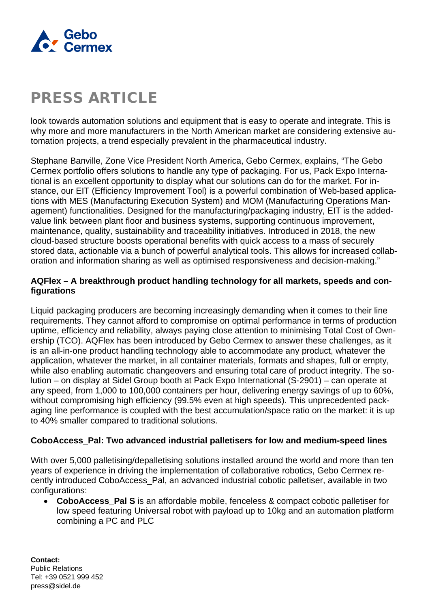

look towards automation solutions and equipment that is easy to operate and integrate. This is why more and more manufacturers in the North American market are considering extensive automation projects, a trend especially prevalent in the pharmaceutical industry.

Stephane Banville, Zone Vice President North America, Gebo Cermex, explains, "The Gebo Cermex portfolio offers solutions to handle any type of packaging. For us, Pack Expo International is an excellent opportunity to display what our solutions can do for the market. For instance, our EIT (Efficiency Improvement Tool) is a powerful combination of Web-based applications with MES (Manufacturing Execution System) and MOM (Manufacturing Operations Management) functionalities. Designed for the manufacturing/packaging industry. EIT is the addedvalue link between plant floor and business systems, supporting continuous improvement, maintenance, quality, sustainability and traceability initiatives. Introduced in 2018, the new cloud-based structure boosts operational benefits with quick access to a mass of securely stored data, actionable via a bunch of powerful analytical tools. This allows for increased collaboration and information sharing as well as optimised responsiveness and decision-making."

### **AQFlex – A breakthrough product handling technology for all markets, speeds and configurations**

Liquid packaging producers are becoming increasingly demanding when it comes to their line requirements. They cannot afford to compromise on optimal performance in terms of production uptime, efficiency and reliability, always paying close attention to minimising Total Cost of Ownership (TCO). AQFlex has been introduced by Gebo Cermex to answer these challenges, as it is an all-in-one product handling technology able to accommodate any product, whatever the application, whatever the market, in all container materials, formats and shapes, full or empty, while also enabling automatic changeovers and ensuring total care of product integrity. The solution – on display at Sidel Group booth at Pack Expo International (S-2901) – can operate at any speed, from 1,000 to 100,000 containers per hour, delivering energy savings of up to 60%, without compromising high efficiency (99.5% even at high speeds). This unprecedented packaging line performance is coupled with the best accumulation/space ratio on the market: it is up to 40% smaller compared to traditional solutions.

#### **CoboAccess\_Pal: Two advanced industrial palletisers for low and medium-speed lines**

With over 5,000 palletising/depalletising solutions installed around the world and more than ten years of experience in driving the implementation of collaborative robotics, Gebo Cermex recently introduced CoboAccess\_Pal, an advanced industrial cobotic palletiser, available in two configurations:

• **CoboAccess\_Pal S** is an affordable mobile, fenceless & compact cobotic palletiser for low speed featuring Universal robot with payload up to 10kg and an automation platform combining a PC and PLC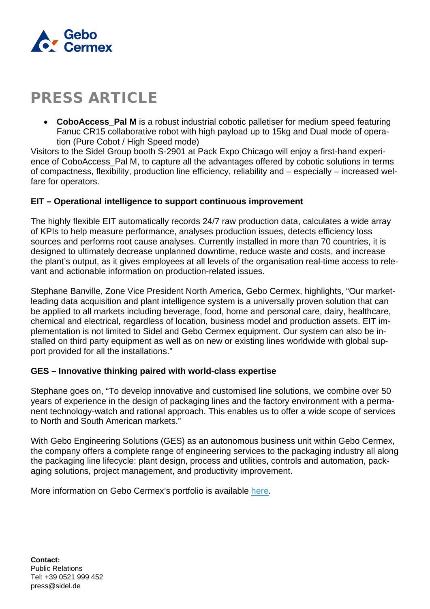

**CoboAccess Pal M** is a robust industrial cobotic palletiser for medium speed featuring Fanuc CR15 collaborative robot with high payload up to 15kg and Dual mode of operation (Pure Cobot / High Speed mode)

Visitors to the Sidel Group booth S-2901 at Pack Expo Chicago will enjoy a first-hand experience of CoboAccess\_Pal M, to capture all the advantages offered by cobotic solutions in terms of compactness, flexibility, production line efficiency, reliability and – especially – increased welfare for operators.

#### **EIT – Operational intelligence to support continuous improvement**

The highly flexible EIT automatically records 24/7 raw production data, calculates a wide array of KPIs to help measure performance, analyses production issues, detects efficiency loss sources and performs root cause analyses. Currently installed in more than 70 countries, it is designed to ultimately decrease unplanned downtime, reduce waste and costs, and increase the plant's output, as it gives employees at all levels of the organisation real-time access to relevant and actionable information on production-related issues.

Stephane Banville, Zone Vice President North America, Gebo Cermex, highlights, "Our marketleading data acquisition and plant intelligence system is a universally proven solution that can be applied to all markets including beverage, food, home and personal care, dairy, healthcare, chemical and electrical, regardless of location, business model and production assets. EIT implementation is not limited to Sidel and Gebo Cermex equipment. Our system can also be installed on third party equipment as well as on new or existing lines worldwide with global support provided for all the installations."

#### **GES – Innovative thinking paired with world-class expertise**

Stephane goes on, "To develop innovative and customised line solutions, we combine over 50 years of experience in the design of packaging lines and the factory environment with a permanent technology-watch and rational approach. This enables us to offer a wide scope of services to North and South American markets."

With Gebo Engineering Solutions (GES) as an autonomous business unit within Gebo Cermex, the company offers a complete range of engineering services to the packaging industry all along the packaging line lifecycle: plant design, process and utilities, controls and automation, packaging solutions, project management, and productivity improvement.

More information on Gebo Cermex's portfolio is available [here.](http://www.gebocermex.com/)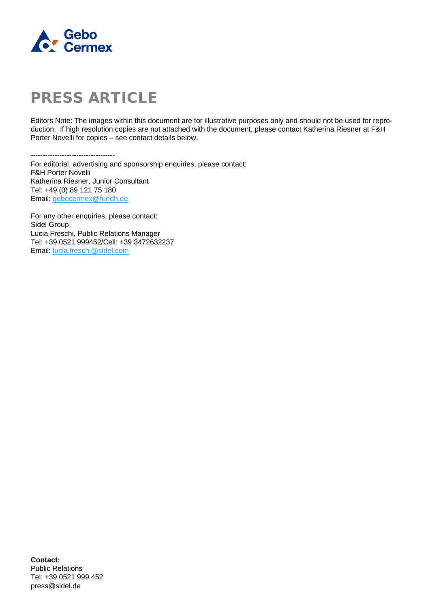

Editors Note: The images within this document are for illustrative purposes only and should not be used for reproduction. If high resolution copies are not attached with the document, please contact Katherina Riesner at F&H Porter Novelli for copies – see contact details below.

-----------------------------------

For editorial, advertising and sponsorship enquiries, please contact: F&H Porter Novelli Katherina Riesner, Junior Consultant Tel: +49 (0) 89 121 75 180 Email: [gebocermex@fundh.de](mailto:gebocermex@fundh.de)

For any other enquiries, please contact: Sidel Group Lucia Freschi, Public Relations Manager Tel: +39 0521 999452/Cell: +39 3472632237 Email: [lucia.freschi@sidel.com](mailto:lucia.freschi@sidel.com)